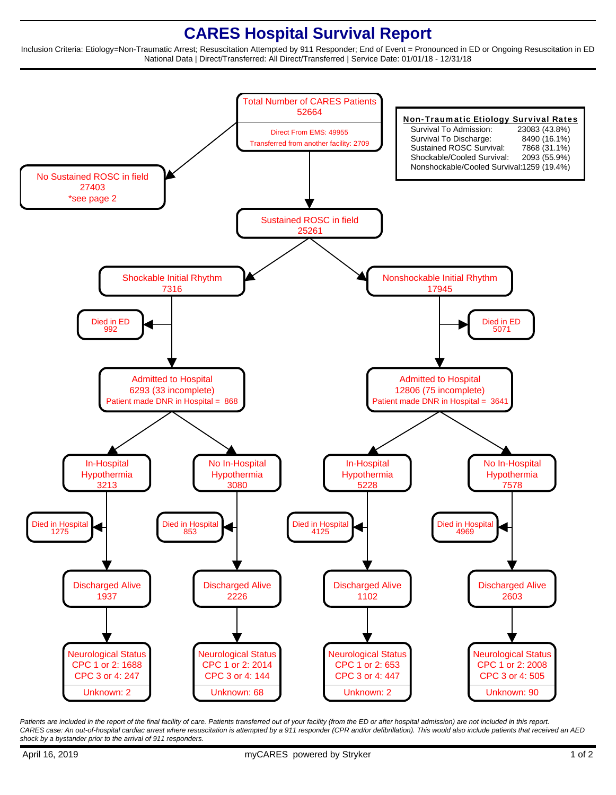## **CARES Hospital Survival Report**

Inclusion Criteria: Etiology=Non-Traumatic Arrest; Resuscitation Attempted by 911 Responder; End of Event = Pronounced in ED or Ongoing Resuscitation in ED National Data | Direct/Transferred: All Direct/Transferred | Service Date: 01/01/18 - 12/31/18



Patients are included in the report of the final facility of care. Patients transferred out of your facility (from the ED or after hospital admission) are not included in this report. CARES case: An out-of-hospital cardiac arrest where resuscitation is attempted by a 911 responder (CPR and/or defibrillation). This would also include patients that received an AED shock by a bystander prior to the arrival of 911 responders.